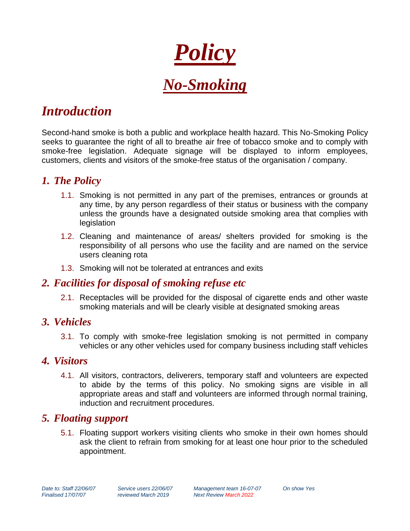

# *Introduction*

Second-hand smoke is both a public and workplace health hazard. This No-Smoking Policy seeks to guarantee the right of all to breathe air free of tobacco smoke and to comply with smoke-free legislation. Adequate signage will be displayed to inform employees, customers, clients and visitors of the smoke-free status of the organisation / company.

## *1. The Policy*

- 1.1. Smoking is not permitted in any part of the premises, entrances or grounds at any time, by any person regardless of their status or business with the company unless the grounds have a designated outside smoking area that complies with legislation
- 1.2. Cleaning and maintenance of areas/ shelters provided for smoking is the responsibility of all persons who use the facility and are named on the service users cleaning rota
- 1.3. Smoking will not be tolerated at entrances and exits

## *2. Facilities for disposal of smoking refuse etc*

2.1. Receptacles will be provided for the disposal of cigarette ends and other waste smoking materials and will be clearly visible at designated smoking areas

#### *3. Vehicles*

3.1. To comply with smoke-free legislation smoking is not permitted in company vehicles or any other vehicles used for company business including staff vehicles

#### *4. Visitors*

4.1. All visitors, contractors, deliverers, temporary staff and volunteers are expected to abide by the terms of this policy. No smoking signs are visible in all appropriate areas and staff and volunteers are informed through normal training, induction and recruitment procedures.

#### *5. Floating support*

5.1. Floating support workers visiting clients who smoke in their own homes should ask the client to refrain from smoking for at least one hour prior to the scheduled appointment.